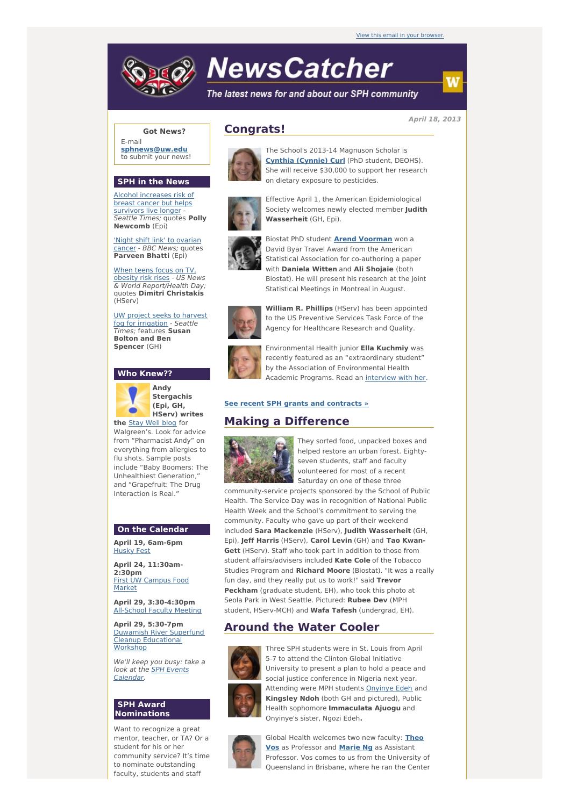# **NewsCatcher**

The latest news for and about our SPH community

**April 18, 2013**

#### **Got News?**

E-mail **[sphnews@uw.edu](mailto:sphnews@uw.edu)** to submit your news!

#### **SPH in the News**

Alcohol [increases](http://engage.washington.edu/site/R?i=skL7bJje0h122Dc-DAC0Ag) risk of breast cancer but helps survivors live longer - Seattle Times; quotes **Polly Newcomb** (Epi)

'Night shift link' to [ovarian](http://engage.washington.edu/site/R?i=mHXzH7VOLLypfmis1iMM1A) cancer - BBC News; quotes **Parveen Bhatti** (Epi)

When teens focus on TV, [obesity](http://engage.washington.edu/site/R?i=8lmAeFxHQ3vtq-EolYQ7UA) risk rises - US News & World Report/Health Day; quotes **Dimitri Christakis** (HServ)

UW project seeks to harvest fog for [irrigation](http://engage.washington.edu/site/R?i=10DuiVyU2_kBD08DX0-wrw) - Seattle Times; features **Susan Bolton and Ben Spencer** (GH)

#### **Who Knew??**



**Andy Stergachis (Epi, GH, HServ) writes**

**the** [Stay](http://engage.washington.edu/site/R?i=w1iDf5wvauRJJ78czWTIrA) Well blog for Walgreen's. Look for advice from "Pharmacist Andy" on everything from allergies to flu shots. Sample posts include "Baby Boomers: The Unhealthiest Generation," and "Grapefruit: The Drug Interaction is Real."

#### **On the Calendar**

**April 19, 6am-6pm** [Husky](http://engage.washington.edu/site/R?i=su6dEM2xLA11zbfIzou3Fw) Fest

**April 24, 11:30am-2:30pm** First UW [Campus](http://engage.washington.edu/site/R?i=HWF3XWnMxg7GkS-_12mGRg) Food Market

**April 29, 3:30-4:30pm** [All-School](http://engage.washington.edu/site/R?i=8JaZJNTO4WhrZSWBt8iwbw) Faculty Meeting

**April 29, 5:30-7pm** Duwamish River Superfund Cleanup [Educational](http://engage.washington.edu/site/R?i=CZPSIAwc-eCacombPI2eug) **Workshop** 

We'll keep you busy: take a look at the **SPH Events** [Calendar.](http://engage.washington.edu/site/R?i=erjIWaD5Lhk174iSgTUdbw)

#### **SPH Award Nominations**

Want to recognize a great mentor, teacher, or TA? Or a student for his or her community service? It's time to nominate outstanding faculty, students and staff



**Congrats!**

The School's 2013-14 Magnuson Scholar is **Cynthia [\(Cynnie\)](http://engage.washington.edu/site/R?i=yEulpVuzqA3MSrWy0fJXeA) Curl** (PhD student, DEOHS). She will receive \$30,000 to support her research on dietary exposure to pesticides.

Effective April 1, the American Epidemiological Society welcomes newly elected member **Judith Wasserheit** (GH, Epi).



Biostat PhD student **Arend [Voorman](http://engage.washington.edu/site/R?i=zR46cthA28o3Pr0wjBkhqA)** won a David Byar Travel Award from the American Statistical Association for co-authoring a paper with **Daniela Witten** and **Ali Shojaie** (both Biostat). He will present his research at the Joint Statistical Meetings in Montreal in August.



**William R. Phillips** (HServ) has been appointed to the US Preventive Services Task Force of the Agency for Healthcare Research and Quality.



Environmental Health junior **Ella Kuchmiy** was recently featured as an "extraordinary student" by the Association of Environmental Health



#### **See recent SPH grants and [contracts](http://engage.washington.edu/site/R?i=kKJFQd84bvHqNO0tRMy0Kw) »**

### **Making a Difference**



They sorted food, unpacked boxes and helped restore an urban forest. Eightyseven students, staff and faculty volunteered for most of a recent Saturday on one of these three

community-service projects sponsored by the School of Public Health. The Service Day was in recognition of National Public Health Week and the School's commitment to serving the community. Faculty who gave up part of their weekend included **Sara Mackenzie** (HServ), **Judith Wasserheit** (GH, Epi), **Jeff Harris** (HServ), **Carol Levin** (GH) and **Tao Kwan-Gett** (HServ). Staff who took part in addition to those from student affairs/advisers included **Kate Cole** of the Tobacco Studies Program and **Richard Moore** (Biostat). "It was a really fun day, and they really put us to work!" said **Trevor Peckham** (graduate student, EH), who took this photo at Seola Park in West Seattle. Pictured: **Rubee Dev** (MPH student, HServ-MCH) and **Wafa Tafesh** (undergrad, EH).

## **Around the Water Cooler**



Three SPH students were in St. Louis from April 5-7 to attend the Clinton Global Initiative University to present a plan to hold a peace and social justice conference in Nigeria next year. Attending were MPH students [Onyinye](http://engage.washington.edu/site/R?i=0F0iUgfnV_pL5ZKobaE8Gg) Edeh and **Kingsley Ndoh** (both GH and pictured), Public Health sophomore **Immaculata Ajuogu** and Onyinye's sister, Ngozi Edeh**.**



Global Health [welcomes](http://engage.washington.edu/site/R?i=ZkHla93rn-WM66rFFXCgAg) two new faculty: **Theo Vos** as Professor and **[Marie](http://engage.washington.edu/site/R?i=cyQvb0CO5MgwoG0cm1Sn3Q) Ng** as Assistant Professor. Vos comes to us from the University of Queensland in Brisbane, where he ran the Center